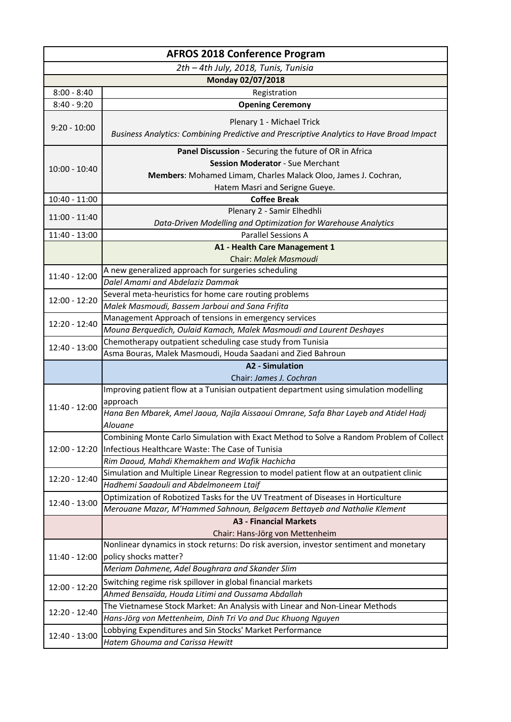| <b>AFROS 2018 Conference Program</b> |                                                                                                                                                                     |
|--------------------------------------|---------------------------------------------------------------------------------------------------------------------------------------------------------------------|
| 2th - 4th July, 2018, Tunis, Tunisia |                                                                                                                                                                     |
|                                      | Monday 02/07/2018                                                                                                                                                   |
| $8:00 - 8:40$                        | Registration                                                                                                                                                        |
| $8:40 - 9:20$                        | <b>Opening Ceremony</b>                                                                                                                                             |
| $9:20 - 10:00$                       | Plenary 1 - Michael Trick<br>Business Analytics: Combining Predictive and Prescriptive Analytics to Have Broad Impact                                               |
| $10:00 - 10:40$                      | Panel Discussion - Securing the future of OR in Africa<br><b>Session Moderator - Sue Merchant</b><br>Members: Mohamed Limam, Charles Malack Oloo, James J. Cochran, |
| $10:40 - 11:00$                      | Hatem Masri and Serigne Gueye.<br><b>Coffee Break</b>                                                                                                               |
|                                      | Plenary 2 - Samir Elhedhli                                                                                                                                          |
| $11:00 - 11:40$                      | Data-Driven Modelling and Optimization for Warehouse Analytics                                                                                                      |
| 11:40 - 13:00                        | <b>Parallel Sessions A</b>                                                                                                                                          |
|                                      | A1 - Health Care Management 1                                                                                                                                       |
|                                      | Chair: Malek Masmoudi                                                                                                                                               |
| 11:40 - 12:00                        | A new generalized approach for surgeries scheduling                                                                                                                 |
|                                      | Dalel Amami and Abdelaziz Dammak                                                                                                                                    |
| 12:00 - 12:20                        | Several meta-heuristics for home care routing problems                                                                                                              |
|                                      | Malek Masmoudi, Bassem Jarboui and Sana Frifita                                                                                                                     |
| 12:20 - 12:40                        | Management Approach of tensions in emergency services                                                                                                               |
|                                      | Mouna Berquedich, Oulaid Kamach, Malek Masmoudi and Laurent Deshayes                                                                                                |
| 12:40 - 13:00                        | Chemotherapy outpatient scheduling case study from Tunisia                                                                                                          |
|                                      | Asma Bouras, Malek Masmoudi, Houda Saadani and Zied Bahroun                                                                                                         |
|                                      | <b>A2 - Simulation</b><br>Chair: James J. Cochran                                                                                                                   |
|                                      | Improving patient flow at a Tunisian outpatient department using simulation modelling                                                                               |
|                                      | approach                                                                                                                                                            |
| 11:40 - 12:00                        | Hana Ben Mbarek, Amel Jaoua, Najla Aissaoui Omrane, Safa Bhar Layeb and Atidel Hadj                                                                                 |
|                                      | Alouane                                                                                                                                                             |
|                                      | Combining Monte Carlo Simulation with Exact Method to Solve a Random Problem of Collect                                                                             |
| 12:00 - 12:20                        | Infectious Healthcare Waste: The Case of Tunisia                                                                                                                    |
|                                      | Rim Daoud, Mahdi Khemakhem and Wafik Hachicha                                                                                                                       |
|                                      | Simulation and Multiple Linear Regression to model patient flow at an outpatient clinic                                                                             |
| 12:20 - 12:40                        | Hadhemi Saadouli and Abdelmoneem Ltaif                                                                                                                              |
|                                      | Optimization of Robotized Tasks for the UV Treatment of Diseases in Horticulture                                                                                    |
| 12:40 - 13:00                        | Merouane Mazar, M'Hammed Sahnoun, Belgacem Bettayeb and Nathalie Klement                                                                                            |
|                                      | <b>A3 - Financial Markets</b>                                                                                                                                       |
|                                      | Chair: Hans-Jörg von Mettenheim                                                                                                                                     |
|                                      | Nonlinear dynamics in stock returns: Do risk aversion, investor sentiment and monetary                                                                              |
| 11:40 - 12:00                        | policy shocks matter?                                                                                                                                               |
|                                      | Meriam Dahmene, Adel Boughrara and Skander Slim                                                                                                                     |
| 12:00 - 12:20                        | Switching regime risk spillover in global financial markets                                                                                                         |
|                                      | Ahmed Bensaïda, Houda Litimi and Oussama Abdallah                                                                                                                   |
| 12:20 - 12:40                        | The Vietnamese Stock Market: An Analysis with Linear and Non-Linear Methods                                                                                         |
|                                      | Hans-Jörg von Mettenheim, Dinh Tri Vo and Duc Khuong Nguyen                                                                                                         |
| 12:40 - 13:00                        | Lobbying Expenditures and Sin Stocks' Market Performance                                                                                                            |
|                                      | Hatem Ghouma and Carissa Hewitt                                                                                                                                     |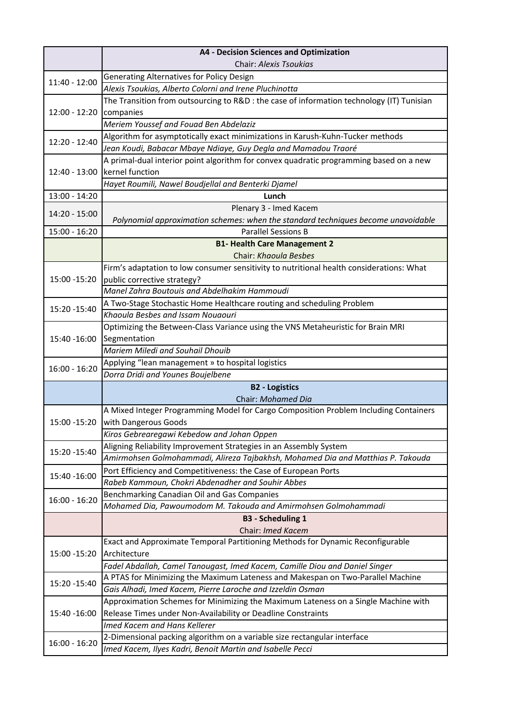|                 | <b>A4 - Decision Sciences and Optimization</b>                                                                                        |
|-----------------|---------------------------------------------------------------------------------------------------------------------------------------|
|                 | Chair: Alexis Tsoukias                                                                                                                |
| 11:40 - 12:00   | Generating Alternatives for Policy Design                                                                                             |
|                 | Alexis Tsoukias, Alberto Colorni and Irene Pluchinotta                                                                                |
|                 | The Transition from outsourcing to R&D : the case of information technology (IT) Tunisian                                             |
| 12:00 - 12:20   | companies                                                                                                                             |
|                 | Meriem Youssef and Fouad Ben Abdelaziz                                                                                                |
| 12:20 - 12:40   | Algorithm for asymptotically exact minimizations in Karush-Kuhn-Tucker methods                                                        |
|                 | Jean Koudi, Babacar Mbaye Ndiaye, Guy Degla and Mamadou Traoré                                                                        |
|                 | A primal-dual interior point algorithm for convex quadratic programming based on a new                                                |
| $12:40 - 13:00$ | kernel function                                                                                                                       |
|                 | Hayet Roumili, Nawel Boudjellal and Benterki Djamel                                                                                   |
| 13:00 - 14:20   | Lunch                                                                                                                                 |
| 14:20 - 15:00   | Plenary 3 - Imed Kacem                                                                                                                |
|                 | Polynomial approximation schemes: when the standard techniques become unavoidable                                                     |
| $15:00 - 16:20$ | <b>Parallel Sessions B</b>                                                                                                            |
|                 | <b>B1- Health Care Management 2</b>                                                                                                   |
|                 | Chair: Khaoula Besbes                                                                                                                 |
|                 | Firm's adaptation to low consumer sensitivity to nutritional health considerations: What                                              |
| 15:00 - 15:20   | public corrective strategy?<br>Manel Zahra Boutouis and Abdelhakim Hammoudi                                                           |
|                 |                                                                                                                                       |
| 15:20 - 15:40   | A Two-Stage Stochastic Home Healthcare routing and scheduling Problem<br>Khaoula Besbes and Issam Nouaouri                            |
|                 | Optimizing the Between-Class Variance using the VNS Metaheuristic for Brain MRI                                                       |
| 15:40 -16:00    | Segmentation                                                                                                                          |
|                 | Mariem Miledi and Souhail Dhouib                                                                                                      |
|                 | Applying "lean management » to hospital logistics                                                                                     |
| $16:00 - 16:20$ | Dorra Dridi and Younes Boujelbene                                                                                                     |
|                 | <b>B2 - Logistics</b>                                                                                                                 |
|                 | Chair: Mohamed Dia                                                                                                                    |
|                 | A Mixed Integer Programming Model for Cargo Composition Problem Including Containers                                                  |
| 15:00 - 15:20   | with Dangerous Goods                                                                                                                  |
|                 | Kiros Gebrearegawi Kebedow and Johan Oppen                                                                                            |
|                 | Aligning Reliability Improvement Strategies in an Assembly System                                                                     |
| 15:20 - 15:40   | Amirmohsen Golmohammadi, Alireza Tajbakhsh, Mohamed Dia and Matthias P. Takouda                                                       |
| 15:40 - 16:00   | Port Efficiency and Competitiveness: the Case of European Ports                                                                       |
|                 | Rabeb Kammoun, Chokri Abdenadher and Souhir Abbes                                                                                     |
| $16:00 - 16:20$ | Benchmarking Canadian Oil and Gas Companies                                                                                           |
|                 | Mohamed Dia, Pawoumodom M. Takouda and Amirmohsen Golmohammadi                                                                        |
|                 | <b>B3 - Scheduling 1</b>                                                                                                              |
|                 | Chair: Imed Kacem                                                                                                                     |
|                 | Exact and Approximate Temporal Partitioning Methods for Dynamic Reconfigurable                                                        |
| 15:00 - 15:20   | Architecture                                                                                                                          |
|                 | Fadel Abdallah, Camel Tanougast, Imed Kacem, Camille Diou and Daniel Singer                                                           |
| 15:20 - 15:40   | A PTAS for Minimizing the Maximum Lateness and Makespan on Two-Parallel Machine                                                       |
|                 | Gais Alhadi, Imed Kacem, Pierre Laroche and Izzeldin Osman                                                                            |
| 15:40 - 16:00   | Approximation Schemes for Minimizing the Maximum Lateness on a Single Machine with                                                    |
|                 | Release Times under Non-Availability or Deadline Constraints<br>Imed Kacem and Hans Kellerer                                          |
|                 |                                                                                                                                       |
| $16:00 - 16:20$ | 2-Dimensional packing algorithm on a variable size rectangular interface<br>Imed Kacem, Ilyes Kadri, Benoit Martin and Isabelle Pecci |
|                 |                                                                                                                                       |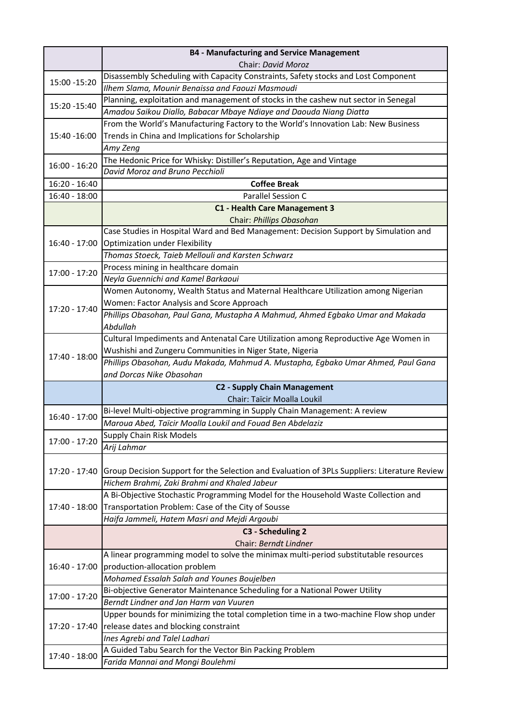|                 | <b>B4 - Manufacturing and Service Management</b>                                                         |
|-----------------|----------------------------------------------------------------------------------------------------------|
|                 | Chair: David Moroz                                                                                       |
| 15:00 - 15:20   | Disassembly Scheduling with Capacity Constraints, Safety stocks and Lost Component                       |
|                 | Ilhem Slama, Mounir Benaissa and Faouzi Masmoudi                                                         |
| 15:20 - 15:40   | Planning, exploitation and management of stocks in the cashew nut sector in Senegal                      |
|                 | Amadou Saikou Diallo, Babacar Mbaye Ndiaye and Daouda Niang Diatta                                       |
|                 | From the World's Manufacturing Factory to the World's Innovation Lab: New Business                       |
| 15:40 -16:00    | Trends in China and Implications for Scholarship                                                         |
|                 | Amy Zeng                                                                                                 |
| $16:00 - 16:20$ | The Hedonic Price for Whisky: Distiller's Reputation, Age and Vintage                                    |
|                 | David Moroz and Bruno Pecchioli                                                                          |
| 16:20 - 16:40   | <b>Coffee Break</b>                                                                                      |
| 16:40 - 18:00   | Parallel Session C                                                                                       |
|                 | C1 - Health Care Management 3                                                                            |
|                 | Chair: Phillips Obasohan                                                                                 |
|                 | Case Studies in Hospital Ward and Bed Management: Decision Support by Simulation and                     |
| 16:40 - 17:00   | Optimization under Flexibility                                                                           |
|                 | Thomas Stoeck, Taieb Mellouli and Karsten Schwarz                                                        |
| 17:00 - 17:20   | Process mining in healthcare domain                                                                      |
|                 | Neyla Guennichi and Kamel Barkaoui                                                                       |
|                 | Women Autonomy, Wealth Status and Maternal Healthcare Utilization among Nigerian                         |
| 17:20 - 17:40   | Women: Factor Analysis and Score Approach                                                                |
|                 | Phillips Obasohan, Paul Gana, Mustapha A Mahmud, Ahmed Egbako Umar and Makada                            |
|                 | Abdullah                                                                                                 |
|                 | Cultural Impediments and Antenatal Care Utilization among Reproductive Age Women in                      |
| 17:40 - 18:00   | Wushishi and Zungeru Communities in Niger State, Nigeria                                                 |
|                 | Phillips Obasohan, Audu Makada, Mahmud A. Mustapha, Egbako Umar Ahmed, Paul Gana                         |
|                 | and Dorcas Nike Obasohan                                                                                 |
|                 | <b>C2 - Supply Chain Management</b>                                                                      |
|                 | Chair: Taïcir Moalla Loukil<br>Bi-level Multi-objective programming in Supply Chain Management: A review |
| 16:40 - 17:00   | Maroua Abed, Taïcir Moalla Loukil and Fouad Ben Abdelaziz                                                |
|                 |                                                                                                          |
| 17:00 - 17:20   | <b>Supply Chain Risk Models</b><br>Arij Lahmar                                                           |
|                 |                                                                                                          |
| 17:20 - 17:40   | Group Decision Support for the Selection and Evaluation of 3PLs Suppliers: Literature Review             |
|                 | Hichem Brahmi, Zaki Brahmi and Khaled Jabeur                                                             |
|                 | A Bi-Objective Stochastic Programming Model for the Household Waste Collection and                       |
| 17:40 - 18:00   | Transportation Problem: Case of the City of Sousse                                                       |
|                 | Haifa Jammeli, Hatem Masri and Mejdi Argoubi                                                             |
|                 | C3 - Scheduling 2                                                                                        |
|                 | Chair: Berndt Lindner                                                                                    |
|                 | A linear programming model to solve the minimax multi-period substitutable resources                     |
| 16:40 - 17:00   | production-allocation problem                                                                            |
|                 | Mohamed Essalah Salah and Younes Boujelben                                                               |
| 17:00 - 17:20   | Bi-objective Generator Maintenance Scheduling for a National Power Utility                               |
|                 | Berndt Lindner and Jan Harm van Vuuren                                                                   |
| 17:20 - 17:40   | Upper bounds for minimizing the total completion time in a two-machine Flow shop under                   |
|                 | release dates and blocking constraint                                                                    |
|                 | Ines Agrebi and Talel Ladhari                                                                            |
| 17:40 - 18:00   | A Guided Tabu Search for the Vector Bin Packing Problem                                                  |
|                 | Farida Mannai and Mongi Boulehmi                                                                         |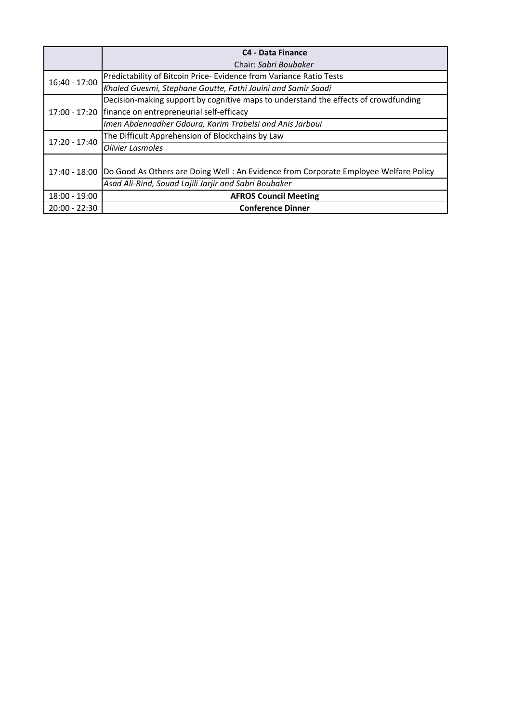|                 | <b>C4 - Data Finance</b>                                                             |
|-----------------|--------------------------------------------------------------------------------------|
|                 | Chair: Sabri Boubaker                                                                |
| 16:40 - 17:00   | Predictability of Bitcoin Price-Evidence from Variance Ratio Tests                   |
|                 | Khaled Guesmi, Stephane Goutte, Fathi Jouini and Samir Saadi                         |
| 17:00 - 17:20   | Decision-making support by cognitive maps to understand the effects of crowdfunding  |
|                 | finance on entrepreneurial self-efficacy                                             |
|                 | Imen Abdennadher Gdoura, Karim Trabelsi and Anis Jarboui                             |
| $17:20 - 17:40$ | The Difficult Apprehension of Blockchains by Law                                     |
|                 | <b>Olivier Lasmoles</b>                                                              |
| 17:40 - 18:00   |                                                                                      |
|                 | Do Good As Others are Doing Well: An Evidence from Corporate Employee Welfare Policy |
|                 | Asad Ali-Rind, Souad Lajili Jarjir and Sabri Boubaker                                |
| 18:00 - 19:00   | <b>AFROS Council Meeting</b>                                                         |
| $20:00 - 22:30$ | <b>Conference Dinner</b>                                                             |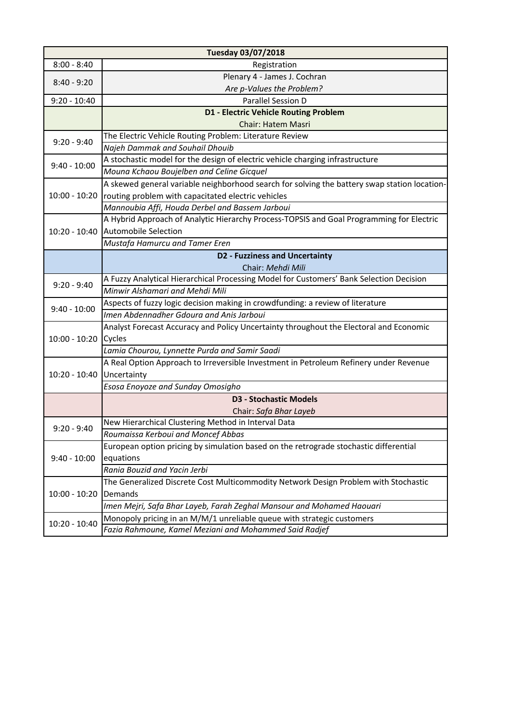| <b>Tuesday 03/07/2018</b> |                                                                                              |
|---------------------------|----------------------------------------------------------------------------------------------|
| $8:00 - 8:40$             | Registration                                                                                 |
| $8:40 - 9:20$             | Plenary 4 - James J. Cochran                                                                 |
|                           | Are p-Values the Problem?                                                                    |
| $9:20 - 10:40$            | <b>Parallel Session D</b>                                                                    |
|                           | <b>D1 - Electric Vehicle Routing Problem</b>                                                 |
|                           | <b>Chair: Hatem Masri</b>                                                                    |
|                           | The Electric Vehicle Routing Problem: Literature Review                                      |
| $9:20 - 9:40$             | Najeh Dammak and Souhail Dhouib                                                              |
|                           | A stochastic model for the design of electric vehicle charging infrastructure                |
| $9:40 - 10:00$            | Mouna Kchaou Boujelben and Celine Gicquel                                                    |
|                           | A skewed general variable neighborhood search for solving the battery swap station location- |
| $10:00 - 10:20$           | routing problem with capacitated electric vehicles                                           |
|                           | Mannoubia Affi, Houda Derbel and Bassem Jarboui                                              |
|                           | A Hybrid Approach of Analytic Hierarchy Process-TOPSIS and Goal Programming for Electric     |
| $10:20 - 10:40$           | <b>Automobile Selection</b>                                                                  |
|                           | Mustafa Hamurcu and Tamer Eren                                                               |
|                           | <b>D2 - Fuzziness and Uncertainty</b>                                                        |
|                           | Chair: Mehdi Mili                                                                            |
| $9:20 - 9:40$             | A Fuzzy Analytical Hierarchical Processing Model for Customers' Bank Selection Decision      |
|                           | Minwir Alshamari and Mehdi Mili                                                              |
| $9:40 - 10:00$            | Aspects of fuzzy logic decision making in crowdfunding: a review of literature               |
|                           | Imen Abdennadher Gdoura and Anis Jarboui                                                     |
|                           | Analyst Forecast Accuracy and Policy Uncertainty throughout the Electoral and Economic       |
| $10:00 - 10:20$           | Cycles                                                                                       |
|                           | Lamia Chourou, Lynnette Purda and Samir Saadi                                                |
|                           | A Real Option Approach to Irreversible Investment in Petroleum Refinery under Revenue        |
| $10:20 - 10:40$           | Uncertainty                                                                                  |
|                           | Esosa Enoyoze and Sunday Omosigho                                                            |
|                           | <b>D3 - Stochastic Models</b>                                                                |
|                           | Chair: Safa Bhar Layeb                                                                       |
| $9:20 - 9:40$             | New Hierarchical Clustering Method in Interval Data                                          |
|                           | Roumaissa Kerboui and Moncef Abbas                                                           |
| $9:40 - 10:00$            | European option pricing by simulation based on the retrograde stochastic differential        |
|                           | equations                                                                                    |
|                           | Rania Bouzid and Yacin Jerbi                                                                 |
| 10:00 - 10:20             | The Generalized Discrete Cost Multicommodity Network Design Problem with Stochastic          |
|                           | Demands                                                                                      |
|                           | Imen Mejri, Safa Bhar Layeb, Farah Zeghal Mansour and Mohamed Haouari                        |
| 10:20 - 10:40             | Monopoly pricing in an M/M/1 unreliable queue with strategic customers                       |
|                           | Fazia Rahmoune, Kamel Meziani and Mohammed Said Radjef                                       |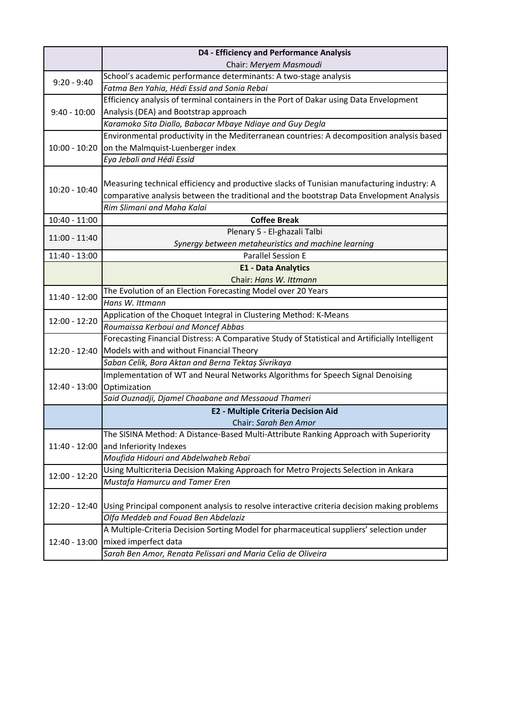|                            | D4 - Efficiency and Performance Analysis                                                        |
|----------------------------|-------------------------------------------------------------------------------------------------|
|                            | Chair: Meryem Masmoudi                                                                          |
| $9:20 - 9:40$              | School's academic performance determinants: A two-stage analysis                                |
|                            | Fatma Ben Yahia, Hédi Essid and Sonia Rebai                                                     |
|                            | Efficiency analysis of terminal containers in the Port of Dakar using Data Envelopment          |
| $9:40 - 10:00$             | Analysis (DEA) and Bootstrap approach                                                           |
|                            | Karamoko Sita Diallo, Babacar Mbaye Ndiaye and Guy Degla                                        |
|                            | Environmental productivity in the Mediterranean countries: A decomposition analysis based       |
| $10:00 - 10:20$            | on the Malmquist-Luenberger index                                                               |
|                            | Eya Jebali and Hédi Essid                                                                       |
|                            |                                                                                                 |
| $10:20 - 10:40$            | Measuring technical efficiency and productive slacks of Tunisian manufacturing industry: A      |
|                            | comparative analysis between the traditional and the bootstrap Data Envelopment Analysis        |
|                            | Rim Slimani and Maha Kalai                                                                      |
| 10:40 - 11:00              | <b>Coffee Break</b>                                                                             |
|                            | Plenary 5 - El-ghazali Talbi                                                                    |
| $11:00 - 11:40$            | Synergy between metaheuristics and machine learning                                             |
| 11:40 - 13:00              | <b>Parallel Session E</b>                                                                       |
|                            | <b>E1 - Data Analytics</b>                                                                      |
|                            | Chair: Hans W. Ittmann                                                                          |
| 11:40 - 12:00              | The Evolution of an Election Forecasting Model over 20 Years                                    |
|                            | Hans W. Ittmann                                                                                 |
| 12:00 - 12:20              | Application of the Choquet Integral in Clustering Method: K-Means                               |
|                            | Roumaissa Kerboui and Moncef Abbas                                                              |
|                            | Forecasting Financial Distress: A Comparative Study of Statistical and Artificially Intelligent |
| 12:20 - 12:40              | Models with and without Financial Theory                                                        |
|                            | Saban Celik, Bora Aktan and Berna Tektaş Sivrikaya                                              |
|                            | Implementation of WT and Neural Networks Algorithms for Speech Signal Denoising                 |
| 12:40 - 13:00 Optimization |                                                                                                 |
|                            | Said Ouznadji, Djamel Chaabane and Messaoud Thameri                                             |
|                            | <b>E2 - Multiple Criteria Decision Aid</b>                                                      |
|                            | Chair: Sarah Ben Amor                                                                           |
|                            | The SISINA Method: A Distance-Based Multi-Attribute Ranking Approach with Superiority           |
| 11:40 - 12:00              | and Inferiority Indexes                                                                         |
|                            | Moufida Hidouri and Abdelwaheb Rebaï                                                            |
| 12:00 - 12:20              | Using Multicriteria Decision Making Approach for Metro Projects Selection in Ankara             |
|                            | Mustafa Hamurcu and Tamer Eren                                                                  |
| 12:20 - 12:40              |                                                                                                 |
|                            | Using Principal component analysis to resolve interactive criteria decision making problems     |
|                            | Olfa Meddeb and Fouad Ben Abdelaziz                                                             |
| 12:40 - 13:00              | A Multiple-Criteria Decision Sorting Model for pharmaceutical suppliers' selection under        |
|                            | mixed imperfect data                                                                            |
|                            | Sarah Ben Amor, Renata Pelissari and Maria Celia de Oliveira                                    |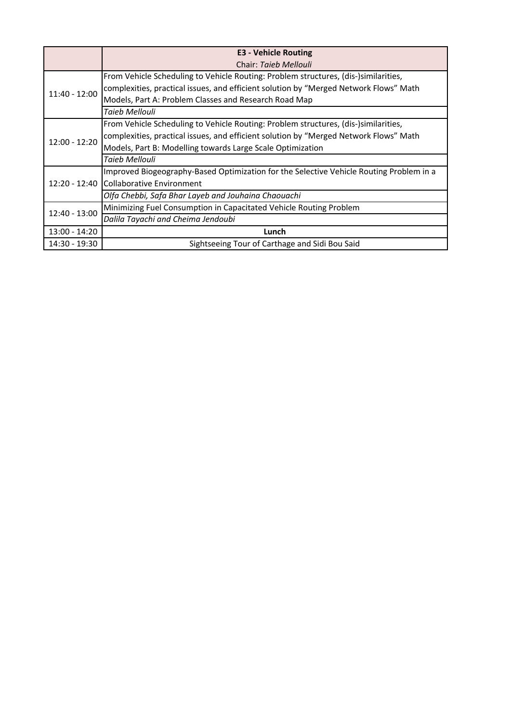|                 | <b>E3 - Vehicle Routing</b>                                                             |
|-----------------|-----------------------------------------------------------------------------------------|
|                 | Chair: Taieb Mellouli                                                                   |
| 11:40 - 12:00   | From Vehicle Scheduling to Vehicle Routing: Problem structures, (dis-)similarities,     |
|                 | complexities, practical issues, and efficient solution by "Merged Network Flows" Math   |
|                 | Models, Part A: Problem Classes and Research Road Map                                   |
|                 | Taieb Mellouli                                                                          |
|                 | From Vehicle Scheduling to Vehicle Routing: Problem structures, (dis-)similarities,     |
|                 | complexities, practical issues, and efficient solution by "Merged Network Flows" Math   |
| $12:00 - 12:20$ | Models, Part B: Modelling towards Large Scale Optimization                              |
|                 | Taieb Mellouli                                                                          |
|                 | Improved Biogeography-Based Optimization for the Selective Vehicle Routing Problem in a |
| 12:20 - 12:40   | <b>Collaborative Environment</b>                                                        |
|                 | Olfa Chebbi, Safa Bhar Layeb and Jouhaina Chaouachi                                     |
| 12:40 - 13:00   | Minimizing Fuel Consumption in Capacitated Vehicle Routing Problem                      |
|                 | Dalila Tayachi and Cheima Jendoubi                                                      |
| $13:00 - 14:20$ | Lunch                                                                                   |
| 14:30 - 19:30   | Sightseeing Tour of Carthage and Sidi Bou Said                                          |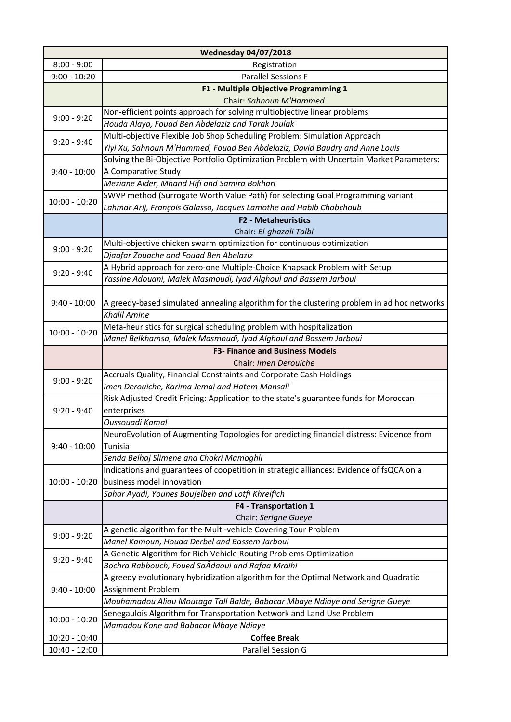|                 | <b>Wednesday 04/07/2018</b>                                                                  |
|-----------------|----------------------------------------------------------------------------------------------|
| $8:00 - 9:00$   | Registration                                                                                 |
| $9:00 - 10:20$  | <b>Parallel Sessions F</b>                                                                   |
|                 | F1 - Multiple Objective Programming 1                                                        |
|                 | Chair: Sahnoun M'Hammed                                                                      |
| $9:00 - 9:20$   | Non-efficient points approach for solving multiobjective linear problems                     |
|                 | Houda Alaya, Fouad Ben Abdelaziz and Tarak Joulak                                            |
| $9:20 - 9:40$   | Multi-objective Flexible Job Shop Scheduling Problem: Simulation Approach                    |
|                 | Yiyi Xu, Sahnoun M'Hammed, Fouad Ben Abdelaziz, David Baudry and Anne Louis                  |
|                 | Solving the Bi-Objective Portfolio Optimization Problem with Uncertain Market Parameters:    |
| $9:40 - 10:00$  | A Comparative Study                                                                          |
|                 | Meziane Aider, Mhand Hifi and Samira Bokhari                                                 |
| $10:00 - 10:20$ | SWVP method (Surrogate Worth Value Path) for selecting Goal Programming variant              |
|                 | Lahmar Arij, François Galasso, Jacques Lamothe and Habib Chabchoub                           |
|                 | <b>F2 - Metaheuristics</b>                                                                   |
|                 | Chair: El-ghazali Talbi                                                                      |
| $9:00 - 9:20$   | Multi-objective chicken swarm optimization for continuous optimization                       |
|                 | Djaafar Zouache and Fouad Ben Abelaziz                                                       |
| $9:20 - 9:40$   | A Hybrid approach for zero-one Multiple-Choice Knapsack Problem with Setup                   |
|                 | Yassine Adouani, Malek Masmoudi, Iyad Alghoul and Bassem Jarboui                             |
|                 |                                                                                              |
| $9:40 - 10:00$  | A greedy-based simulated annealing algorithm for the clustering problem in ad hoc networks   |
|                 | <b>Khalil Amine</b>                                                                          |
| $10:00 - 10:20$ | Meta-heuristics for surgical scheduling problem with hospitalization                         |
|                 | Manel Belkhamsa, Malek Masmoudi, Iyad Alghoul and Bassem Jarboui                             |
|                 | <b>F3- Finance and Business Models</b>                                                       |
|                 | Chair: Imen Derouiche<br>Accruals Quality, Financial Constraints and Corporate Cash Holdings |
| $9:00 - 9:20$   | Imen Derouiche, Karima Jemai and Hatem Mansali                                               |
|                 | Risk Adjusted Credit Pricing: Application to the state's guarantee funds for Moroccan        |
| $9:20 - 9:40$   | enterprises                                                                                  |
|                 | Oussouadi Kamal                                                                              |
|                 | NeuroEvolution of Augmenting Topologies for predicting financial distress: Evidence from     |
| $9:40 - 10:00$  | Tunisia                                                                                      |
|                 | Senda Belhaj Slimene and Chokri Mamoghli                                                     |
|                 | Indications and guarantees of coopetition in strategic alliances: Evidence of fsQCA on a     |
| $10:00 - 10:20$ | business model innovation                                                                    |
|                 | Sahar Ayadi, Younes Boujelben and Lotfi Khreifich                                            |
|                 | F4 - Transportation 1                                                                        |
|                 | Chair: Serigne Gueye                                                                         |
|                 | A genetic algorithm for the Multi-vehicle Covering Tour Problem                              |
| $9:00 - 9:20$   | Manel Kamoun, Houda Derbel and Bassem Jarboui                                                |
|                 | A Genetic Algorithm for Rich Vehicle Routing Problems Optimization                           |
| $9:20 - 9:40$   | Bochra Rabbouch, Foued SaÂdaoui and Rafaa Mraihi                                             |
|                 | A greedy evolutionary hybridization algorithm for the Optimal Network and Quadratic          |
| $9:40 - 10:00$  | Assignment Problem                                                                           |
|                 | Mouhamadou Aliou Moutaga Tall Baldé, Babacar Mbaye Ndiaye and Serigne Gueye                  |
| $10:00 - 10:20$ | Senegaulois Algorithm for Transportation Network and Land Use Problem                        |
|                 | Mamadou Kone and Babacar Mbaye Ndiaye                                                        |
| $10:20 - 10:40$ | <b>Coffee Break</b>                                                                          |
| 10:40 - 12:00   | Parallel Session G                                                                           |